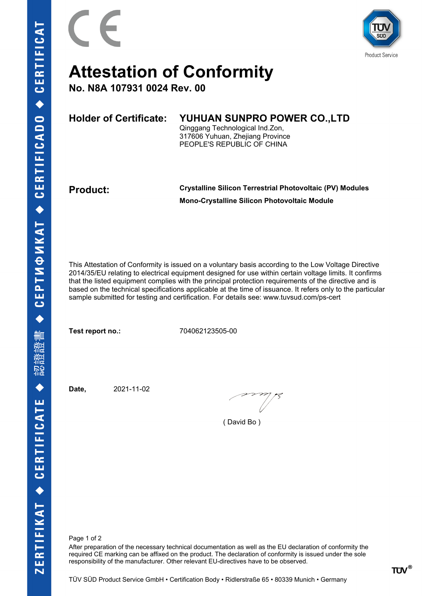

## **Attestation of Conformity**

**No. N8A 107931 0024 Rev. 00**

| <b>Holder of Certificate:</b> | YUHUAN SUNPRO POWER CO., LTD     |  |
|-------------------------------|----------------------------------|--|
|                               | Qinggang Technological Ind.Zon,  |  |
|                               | 317606 Yuhuan, Zhejiang Province |  |
|                               | PEOPLE'S REPUBLIC OF CHINA       |  |
|                               |                                  |  |

**Product: Crystalline Silicon Terrestrial Photovoltaic (PV) Modules Mono-Crystalline Silicon Photovoltaic Module**

This Attestation of Conformity is issued on a voluntary basis according to the Low Voltage Directive 2014/35/EU relating to electrical equipment designed for use within certain voltage limits. It confirms that the listed equipment complies with the principal protection requirements of the directive and is based on the technical specifications applicable at the time of issuance. It refers only to the particular sample submitted for testing and certification. For details see: www.tuvsud.com/ps-cert

**Test report no.:** 704062123505-00

**Date,** 2021-11-02

( David Bo )

Page 1 of 2

After preparation of the necessary technical documentation as well as the EU declaration of conformity the required CE marking can be affixed on the product. The declaration of conformity is issued under the sole responsibility of the manufacturer. Other relevant EU-directives have to be observed.